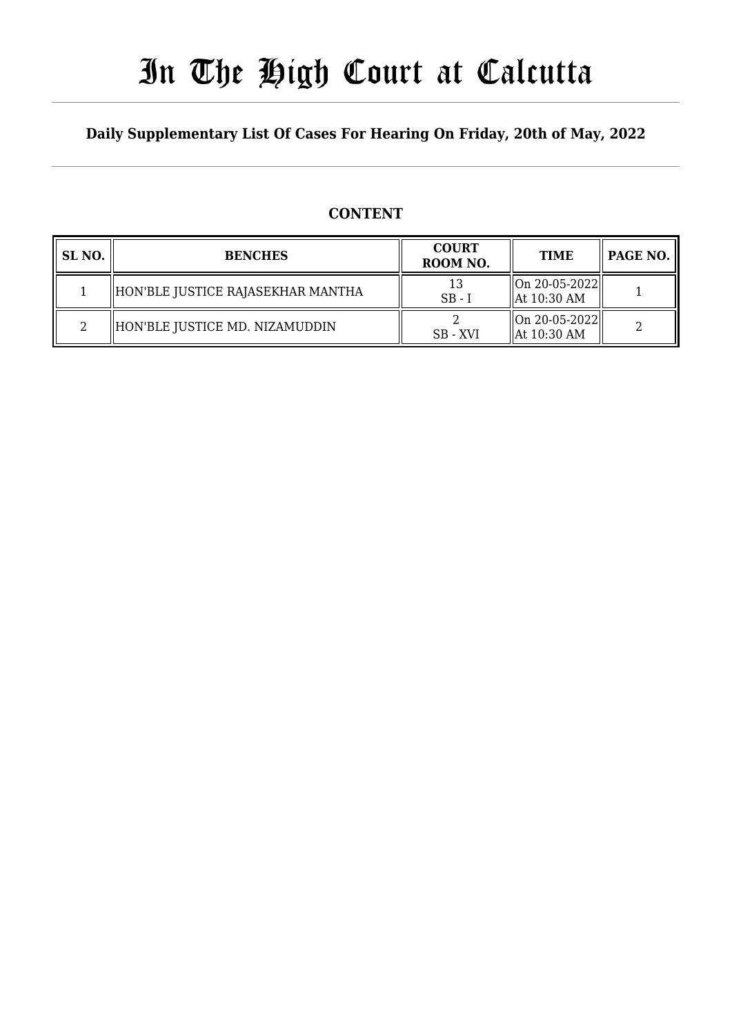# In The High Court at Calcutta

### **Daily Supplementary List Of Cases For Hearing On Friday, 20th of May, 2022**

### **CONTENT**

| SL <sub>NO</sub> . | <b>BENCHES</b>                    | <b>COURT</b><br>ROOM NO. | <b>TIME</b>                                        | PAGE NO. |
|--------------------|-----------------------------------|--------------------------|----------------------------------------------------|----------|
|                    | HON'BLE JUSTICE RAJASEKHAR MANTHA | $SB - 1$                 | $\ $ On 20-05-2022 $\ $<br>$\parallel$ At 10:30 AM |          |
|                    | HON'BLE JUSTICE MD. NIZAMUDDIN    | SB - XVI                 | On 20-05-2022  <br>  At 10:30 AM                   |          |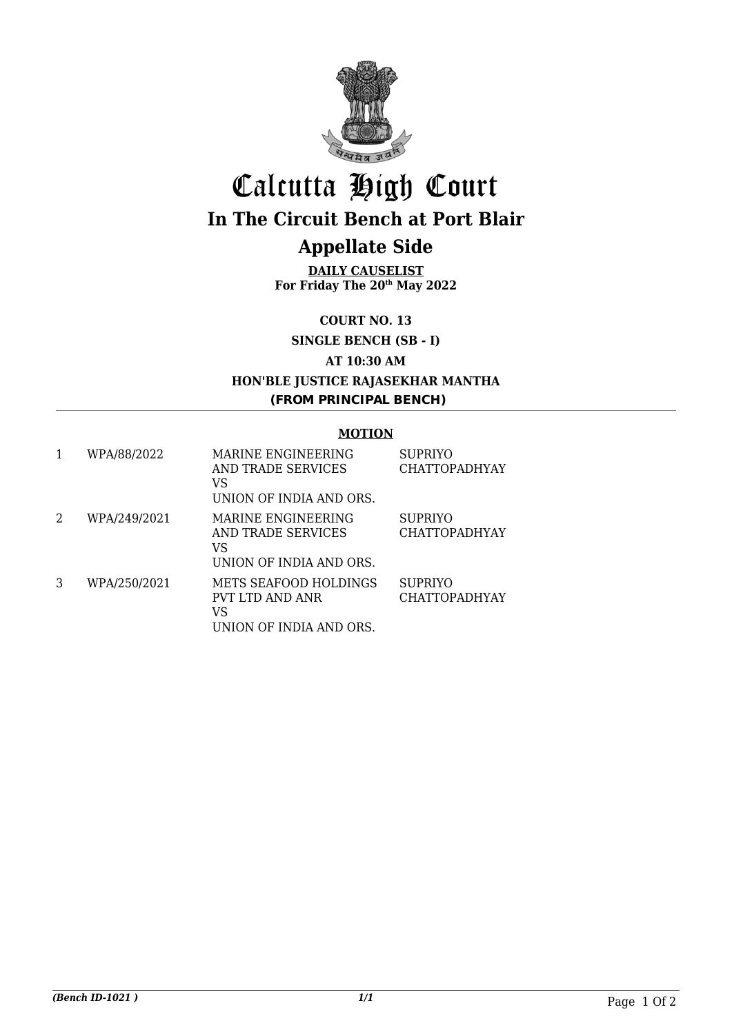

## Calcutta High Court **In The Circuit Bench at Port Blair**

## **Appellate Side**

**DAILY CAUSELIST For Friday The 20th May 2022**

**COURT NO. 13**

**SINGLE BENCH (SB - I)**

**AT 10:30 AM**

**HON'BLE JUSTICE RAJASEKHAR MANTHA (FROM PRINCIPAL BENCH)**

#### **MOTION**

|   | WPA/88/2022  | MARINE ENGINEERING<br>AND TRADE SERVICES<br>VS<br>UNION OF INDIA AND ORS. | <b>SUPRIYO</b><br><b>CHATTOPADHYAY</b> |
|---|--------------|---------------------------------------------------------------------------|----------------------------------------|
| 2 | WPA/249/2021 | MARINE ENGINEERING<br>AND TRADE SERVICES<br>VS<br>UNION OF INDIA AND ORS. | <b>SUPRIYO</b><br><b>CHATTOPADHYAY</b> |
| 3 | WPA/250/2021 | METS SEAFOOD HOLDINGS<br>PVT LTD AND ANR<br>VS<br>UNION OF INDIA AND ORS. | <b>SUPRIYO</b><br><b>CHATTOPADHYAY</b> |